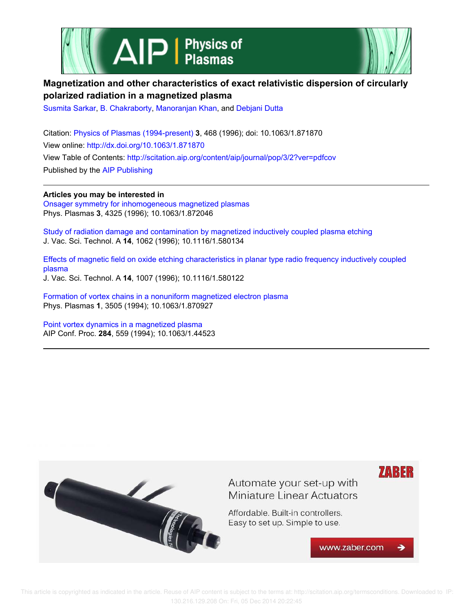



# **Magnetization and other characteristics of exact relativistic dispersion of circularly polarized radiation in a magnetized plasma**

Susmita Sarkar, B. Chakraborty, Manoranjan Khan, and Debjani Dutta

Citation: Physics of Plasmas (1994-present) **3**, 468 (1996); doi: 10.1063/1.871870 View online: http://dx.doi.org/10.1063/1.871870 View Table of Contents: http://scitation.aip.org/content/aip/journal/pop/3/2?ver=pdfcov Published by the AIP Publishing

**Articles you may be interested in** Onsager symmetry for inhomogeneous magnetized plasmas Phys. Plasmas **3**, 4325 (1996); 10.1063/1.872046

Study of radiation damage and contamination by magnetized inductively coupled plasma etching J. Vac. Sci. Technol. A **14**, 1062 (1996); 10.1116/1.580134

Effects of magnetic field on oxide etching characteristics in planar type radio frequency inductively coupled plasma J. Vac. Sci. Technol. A **14**, 1007 (1996); 10.1116/1.580122

Formation of vortex chains in a nonuniform magnetized electron plasma Phys. Plasmas **1**, 3505 (1994); 10.1063/1.870927

Point vortex dynamics in a magnetized plasma AIP Conf. Proc. **284**, 559 (1994); 10.1063/1.44523



 This article is copyrighted as indicated in the article. Reuse of AIP content is subject to the terms at: http://scitation.aip.org/termsconditions. Downloaded to IP: 130.216.129.208 On: Fri, 05 Dec 2014 20:22:45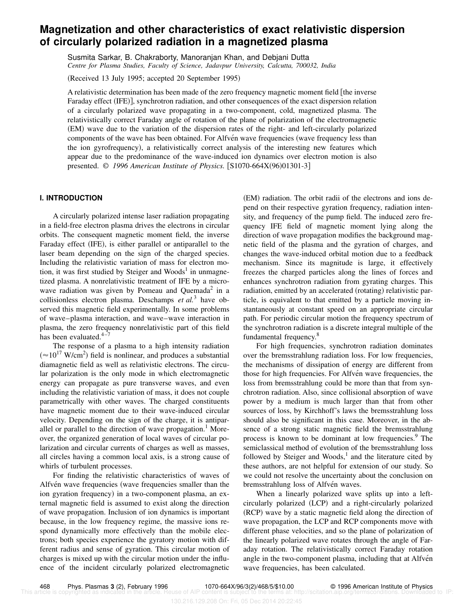# **Magnetization and other characteristics of exact relativistic dispersion of circularly polarized radiation in a magnetized plasma**

Susmita Sarkar, B. Chakraborty, Manoranjan Khan, and Debjani Dutta *Centre for Plasma Studies, Faculty of Science, Jadavpur University, Calcutta, 700032, India*

(Received 13 July 1995; accepted 20 September 1995)

A relativistic determination has been made of the zero frequency magnetic moment field [the inverse Faraday effect (IFE)], synchrotron radiation, and other consequences of the exact dispersion relation of a circularly polarized wave propagating in a two-component, cold, magnetized plasma. The relativistically correct Faraday angle of rotation of the plane of polarization of the electromagnetic ~EM! wave due to the variation of the dispersion rates of the right- and left-circularly polarized components of the wave has been obtained. For Alfven wave frequencies (wave frequency less than the ion gyrofrequency), a relativistically correct analysis of the interesting new features which appear due to the predominance of the wave-induced ion dynamics over electron motion is also presented. © 1996 American Institute of Physics. [S1070-664X(96)01301-3]

### **I. INTRODUCTION**

A circularly polarized intense laser radiation propagating in a field-free electron plasma drives the electrons in circular orbits. The consequent magnetic moment field, the inverse Faraday effect (IFE), is either parallel or antiparallel to the laser beam depending on the sign of the charged species. Including the relativistic variation of mass for electron motion, it was first studied by Steiger and Woods1 in unmagnetized plasma. A nonrelativistic treatment of IFE by a microwave radiation was given by Pomeau and Quemada<sup>2</sup> in a collisionless electron plasma. Deschamps *et al.*<sup>3</sup> have observed this magnetic field experimentally. In some problems of wave–plasma interaction, and wave–wave interaction in plasma, the zero frequency nonrelativistic part of this field has been evaluated. $4-7$ 

The response of a plasma to a high intensity radiation  $(\approx 10^{17} \text{ W/cm}^2)$  field is nonlinear, and produces a substantial diamagnetic field as well as relativistic electrons. The circular polarization is the only mode in which electromagnetic energy can propagate as pure transverse waves, and even including the relativistic variation of mass, it does not couple parametrically with other waves. The charged constituents have magnetic moment due to their wave-induced circular velocity. Depending on the sign of the charge, it is antiparallel or parallel to the direction of wave propagation.<sup>1</sup> Moreover, the organized generation of local waves of circular polarization and circular currents of charges as well as masses, all circles having a common local axis, is a strong cause of whirls of turbulent processes.

For finding the relativistic characteristics of waves of Alfven wave frequencies (wave frequencies smaller than the ion gyration frequency) in a two-component plasma, an external magnetic field is assumed to exist along the direction of wave propagation. Inclusion of ion dynamics is important because, in the low frequency regime, the massive ions respond dynamically more effectively than the mobile electrons; both species experience the gyratory motion with different radius and sense of gyration. This circular motion of charges is mixed up with the circular motion under the influence of the incident circularly polarized electromagnetic

(EM) radiation. The orbit radii of the electrons and ions depend on their respective gyration frequency, radiation intensity, and frequency of the pump field. The induced zero frequency IFE field of magnetic moment lying along the direction of wave propagation modifies the background magnetic field of the plasma and the gyration of charges, and changes the wave-induced orbital motion due to a feedback mechanism. Since its magnitude is large, it effectively freezes the charged particles along the lines of forces and enhances synchrotron radiation from gyrating charges. This radiation, emitted by an accelerated (rotating) relativistic particle, is equivalent to that emitted by a particle moving instantaneously at constant speed on an appropriate circular path. For periodic circular motion the frequency spectrum of the synchrotron radiation is a discrete integral multiple of the fundamental frequency.<sup>8</sup>

For high frequencies, synchrotron radiation dominates over the bremsstrahlung radiation loss. For low frequencies, the mechanisms of dissipation of energy are different from those for high frequencies. For Alfvén wave frequencies, the loss from bremsstrahlung could be more than that from synchrotron radiation. Also, since collisional absorption of wave power by a medium is much larger than that from other sources of loss, by Kirchhoff's laws the bremsstrahlung loss should also be significant in this case. Moreover, in the absence of a strong static magnetic field the bremsstrahlung process is known to be dominant at low frequencies.<sup>9</sup> The semiclassical method of evolution of the bremsstrahlung loss followed by Steiger and Woods, $<sup>1</sup>$  and the literature cited by</sup> these authors, are not helpful for extension of our study. So we could not resolve the uncertainty about the conclusion on bremsstrahlung loss of Alfvén waves.

When a linearly polarized wave splits up into a leftcircularly polarized (LCP) and a right-circularly polarized (RCP) wave by a static magnetic field along the direction of wave propagation, the LCP and RCP components move with different phase velocities, and so the plane of polarization of the linearly polarized wave rotates through the angle of Faraday rotation. The relativistically correct Faraday rotation angle in the two-component plasma, including that at Alfvén wave frequencies, has been calculated.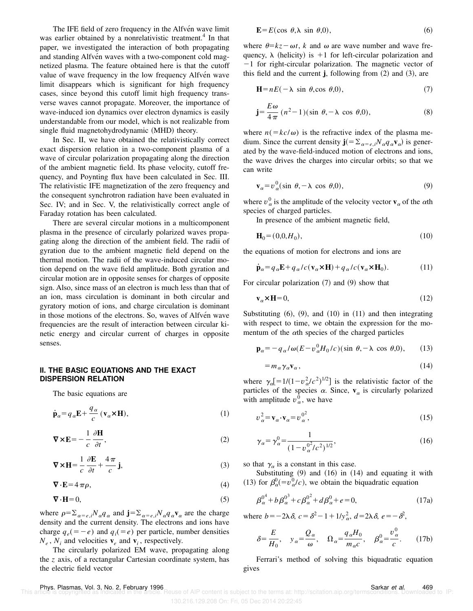The IFE field of zero frequency in the Alfven wave limit was earlier obtained by a nonrelativistic treatment.<sup>4</sup> In that paper, we investigated the interaction of both propagating and standing Alfven waves with a two-component cold magnetized plasma. The feature obtained here is that the cutoff value of wave frequency in the low frequency Alfvén wave limit disappears which is significant for high frequency cases, since beyond this cutoff limit high frequency transverse waves cannot propagate. Moreover, the importance of wave-induced ion dynamics over electron dynamics is easily understandable from our model, which is not realizable from single fluid magnetohydrodynamic (MHD) theory.

In Sec. II, we have obtained the relativistically correct exact dispersion relation in a two-component plasma of a wave of circular polarization propagating along the direction of the ambient magnetic field. Its phase velocity, cutoff frequency, and Poynting flux have been calculated in Sec. III. The relativistic IFE magnetization of the zero frequency and the consequent synchrotron radiation have been evaluated in Sec. IV; and in Sec. V, the relativistically correct angle of Faraday rotation has been calculated.

There are several circular motions in a multicomponent plasma in the presence of circularly polarized waves propagating along the direction of the ambient field. The radii of gyration due to the ambient magnetic field depend on the thermal motion. The radii of the wave-induced circular motion depend on the wave field amplitude. Both gyration and circular motion are in opposite senses for charges of opposite sign. Also, since mass of an electron is much less than that of an ion, mass circulation is dominant in both circular and gyratory motion of ions, and charge circulation is dominant in those motions of the electrons. So, waves of Alfven wave frequencies are the result of interaction between circular kinetic energy and circular current of charges in opposite senses.

#### **II. THE BASIC EQUATIONS AND THE EXACT DISPERSION RELATION**

The basic equations are

$$
\dot{\mathbf{p}}_{\alpha} = q_{\alpha} \mathbf{E} + \frac{q_{\alpha}}{c} (\mathbf{v}_{\alpha} \times \mathbf{H}), \tag{1}
$$

$$
\nabla \times \mathbf{E} = -\frac{1}{c} \frac{\partial \mathbf{H}}{\partial t},\tag{2}
$$

$$
\nabla \times \mathbf{H} = \frac{1}{c} \frac{\partial \mathbf{E}}{\partial t} + \frac{4\pi}{c} \mathbf{j},\tag{3}
$$

$$
\nabla \cdot \mathbf{E} = 4 \pi \rho, \tag{4}
$$

$$
\nabla \cdot \mathbf{H} = 0,\tag{5}
$$

where  $\rho = \sum_{\alpha = e, i} N_{\alpha} q_{\alpha}$  and  $\mathbf{j} = \sum_{\alpha = e, i} N_{\alpha} q_{\alpha} \mathbf{v}_{\alpha}$  are the charge density and the current density. The electrons and ions have charge  $q_e(=-e)$  and  $q_i(=e)$  per particle, number densities  $N_e$ ,  $N_i$  and velocities  $\mathbf{v}_e$  and  $\mathbf{v}_i$ , respectively.

The circularly polarized EM wave, propagating along the *z* axis, of a rectangular Cartesian coordinate system, has the electric field vector

$$
\mathbf{E} = E(\cos \theta, \lambda \sin \theta, 0),\tag{6}
$$

where  $\theta = kz - \omega t$ , *k* and  $\omega$  are wave number and wave frequency,  $\lambda$  (helicity) is +1 for left-circular polarization and  $-1$  for right-circular polarization. The magnetic vector of this field and the current  $\mathbf{j}$ , following from  $(2)$  and  $(3)$ , are

$$
\mathbf{H} = nE(-\lambda \sin \theta, \cos \theta, 0),\tag{7}
$$

$$
\mathbf{j} = \frac{E\,\omega}{4\,\pi} \,(n^2 - 1)(\sin\,\theta, -\lambda\,\cos\,\theta, 0),\tag{8}
$$

where  $n(=kc/\omega)$  is the refractive index of the plasma medium. Since the current density  $\mathbf{j}(=\sum_{\alpha=e,i}N_{\alpha}q_{\alpha}\mathbf{v}_{\alpha})$  is generated by the wave-field-induced motion of electrons and ions, the wave drives the charges into circular orbits; so that we can write

$$
\mathbf{v}_{\alpha} = v_{\alpha}^{0} (\sin \theta, -\lambda \cos \theta, 0), \tag{9}
$$

where  $v_\alpha^0$  is the amplitude of the velocity vector  $\mathbf{v}_\alpha$  of the  $\alpha$ th species of charged particles.

In presence of the ambient magnetic field,

$$
\mathbf{H}_0 = (0, 0, H_0),\tag{10}
$$

the equations of motion for electrons and ions are

$$
\dot{\mathbf{p}}_{\alpha} = q_{\alpha} \mathbf{E} + q_{\alpha}/c(\mathbf{v}_{\alpha} \times \mathbf{H}) + q_{\alpha}/c(\mathbf{v}_{\alpha} \times \mathbf{H}_0).
$$
 (11)

For circular polarization  $(7)$  and  $(9)$  show that

$$
\mathbf{v}_{\alpha} \times \mathbf{H} = 0,\tag{12}
$$

Substituting  $(6)$ ,  $(9)$ , and  $(10)$  in  $(11)$  and then integrating with respect to time, we obtain the expression for the momentum of the  $\alpha$ th species of the charged particles

$$
\mathbf{p}_{\alpha} = -q_{\alpha}/\omega(E - v_{\alpha}^{0}H_{0}/c)(\sin \theta, -\lambda \cos \theta, 0), \qquad (13)
$$

$$
=m_{\alpha}\gamma_{\alpha}\mathbf{v}_{\alpha},\qquad(14)
$$

where  $\gamma_{0} = 1/(1 - v_{0}^{2}/c^{2})^{1/2}$  is the relativistic factor of the particles of the species  $\alpha$ . Since,  $\mathbf{v}_{\alpha}$  is circularly polarized with amplitude  $v_{\alpha}^{0}$ , we have

$$
v_{\alpha}^{2} = \mathbf{v}_{\alpha} \cdot \mathbf{v}_{\alpha} = v_{\alpha}^{0^{2}},
$$
\n(15)

$$
\gamma_{\alpha} = \gamma_{\alpha}^{0} = \frac{1}{(1 - v_{\alpha}^{0^2}/c^2)^{1/2}},
$$
\n(16)

so that  $\gamma_\alpha$  is a constant in this case.

Substituting  $(9)$  and  $(16)$  in  $(14)$  and equating it with (13) for  $\beta_{\alpha}^{0} = v_{\alpha}^{0}/c$ , we obtain the biquadratic equation

$$
\beta_{\alpha}^{0^4} + b \beta_{\alpha}^{0^3} + c \beta_{\alpha}^{0^2} + d \beta_{\alpha}^0 + e = 0, \qquad (17a)
$$

where  $b=-2\lambda \delta$ ,  $c=\delta^2-1+1/y_\alpha^2$ ,  $d=2\lambda \delta$ ,  $e=-\delta^2$ ,

$$
\delta = \frac{E}{H_0}, \quad y_\alpha = \frac{Q_\alpha}{\omega}, \quad \Omega_\alpha = \frac{q_\alpha H_0}{m_\alpha c}, \quad \beta_\alpha^0 = \frac{v_\alpha^0}{c}.
$$
 (17b)

Ferrari's method of solving this biquadratic equation gives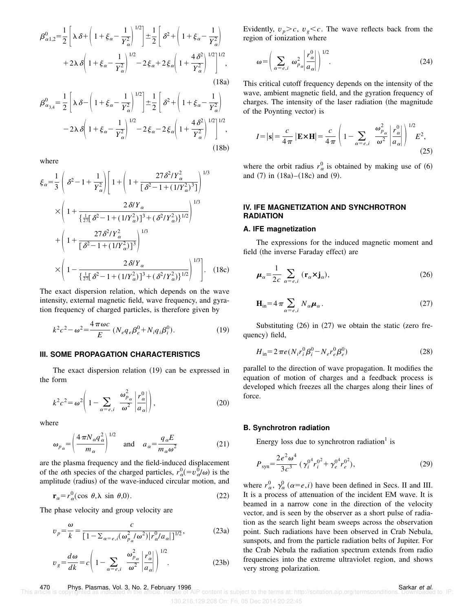$$
\beta_{\alpha 1,2}^{0} = \frac{1}{2} \left[ \lambda \delta + \left( 1 + \xi_{\alpha} - \frac{1}{Y_{\alpha}^{2}} \right)^{1/2} \right] \pm \frac{1}{2} \left[ \delta^{2} + \left( 1 + \xi_{\alpha} - \frac{1}{Y_{\alpha}^{2}} \right) + 2 \lambda \delta \left( 1 + \xi_{\alpha} - \frac{1}{Y_{\alpha}^{2}} \right)^{1/2} - 2 \xi_{\alpha} + 2 \xi_{\alpha} \left( 1 + \frac{4 \delta^{2}}{Y_{\alpha}^{2}} \right)^{1/2} \right]^{1/2},
$$
\n(18a)

$$
\beta_{\alpha_{3,4}}^0 = \frac{1}{2} \left[ \lambda \delta - \left( 1 + \xi_\alpha - \frac{1}{Y_\alpha^2} \right)^{1/2} \right] \pm \frac{1}{2} \left[ \delta^2 + \left( 1 + \xi_\alpha - \frac{1}{Y_\alpha^2} \right) -2\lambda \delta \left( 1 + \xi_\alpha - \frac{1}{Y_\alpha^2} \right)^{1/2} - 2\xi_\alpha - 2\xi_\alpha \left( 1 + \frac{4\delta^2}{Y_\alpha^2} \right)^{1/2} \right]^{1/2},
$$
\n(18b)

where

$$
\xi_{\alpha} = \frac{1}{3} \left( \delta^{2} - 1 + \frac{1}{Y_{\alpha}^{2}} \right) \left[ 1 + \left( 1 + \frac{27 \delta^{2} / Y_{\alpha}^{2}}{\left[ \delta^{2} - 1 + (1 / Y_{\alpha}^{2})^{3} \right]} \right)^{1/3} \times \left( 1 + \frac{2 \delta / Y_{\alpha}}{\left\{ \frac{1}{27} \left[ \delta^{2} - 1 + (1 / Y_{\alpha}^{2}) \right]^{3} + (\delta^{2} / Y_{\alpha}^{2}) \right\}^{1/2}} \right)^{1/3} + \left( 1 + \frac{27 \delta^{2} / Y_{\alpha}^{2}}{\left[ \delta^{2} - 1 + (1 / Y_{\alpha}^{2}) \right]^{3}} \right)^{1/3} \times \left( 1 - \frac{2 \delta / Y_{\alpha}}{\left\{ \frac{1}{27} \left[ \delta^{2} - 1 + (1 / Y_{\alpha}^{2}) \right]^{3} + (\delta^{2} / Y_{\alpha}^{2}) \right\}^{1/2}} \right)^{1/3} \right]. \quad (18c)
$$

The exact dispersion relation, which depends on the wave intensity, external magnetic field, wave frequency, and gyration frequency of charged particles, is therefore given by

$$
k^{2}c^{2} - \omega^{2} = \frac{4\,\pi\omega c}{E} \left( N_{e}q_{e}\beta_{e}^{0} + N_{i}q_{i}\beta_{i}^{0} \right). \tag{19}
$$

#### **III. SOME PROPAGATION CHARACTERISTICS**

The exact dispersion relation  $(19)$  can be expressed in the form

$$
k^2 c^2 = \omega^2 \left( 1 - \sum_{\alpha = e, i} \frac{\omega_{p_\alpha}^2}{\omega^2} \left| \frac{r_\alpha^0}{a_\alpha} \right| \right),\tag{20}
$$

where

$$
\omega_{p_{\alpha}} = \left(\frac{4\pi N_{\alpha}q_{\alpha}^{2}}{m_{\alpha}}\right)^{1/2} \quad \text{and} \quad a_{\alpha} = \frac{q_{\alpha}E}{m_{\alpha}\omega^{2}}
$$
 (21)

are the plasma frequency and the field-induced displacement of the *a*th species of the charged particles,  $r_{\alpha}^{0} = v_{\alpha}^{0} / \omega$  is the amplitude (radius) of the wave-induced circular motion, and

$$
\mathbf{r}_{\alpha} = r_{\alpha}^{0}(\cos \theta, \lambda \sin \theta, 0). \tag{22}
$$

The phase velocity and group velocity are

$$
v_p = \frac{\omega}{k} = \frac{c}{[1 - \sum_{\alpha = e, i} (\omega_{p_\alpha}^2/\omega^2) |r_\alpha^0/a_\alpha|]^{1/2}},
$$
(23a)

$$
v_g = \frac{d\omega}{dk} = c \left( 1 - \sum_{\alpha = e, i} \frac{\omega_{p_\alpha}^2}{\omega^2} \left| \frac{r_\alpha^0}{a_\alpha} \right| \right)^{1/2}.
$$
 (23b)

Evidently,  $v_p > c$ ,  $v_g < c$ . The wave reflects back from the region of ionization where

$$
\omega = \left(\sum_{\alpha = e,i} \omega_{p_{\alpha}}^{2} \left| \frac{r_{\alpha}^{0}}{a_{\alpha}} \right| \right)^{1/2}.
$$
 (24)

This critical cutoff frequency depends on the intensity of the wave, ambient magnetic field, and the gyration frequency of charges. The intensity of the laser radiation (the magnitude of the Poynting vector) is

$$
I = |\mathbf{s}| = \frac{c}{4\pi} |\mathbf{E} \times \mathbf{H}| = \frac{c}{4\pi} \left( 1 - \sum_{\alpha = e, i} \frac{\omega_{p_\alpha}^2}{\omega^2} \left| \frac{r_\alpha^0}{a_\alpha} \right| \right)^{1/2} E^2,
$$
\n(25)

where the orbit radius  $r_\alpha^0$  is obtained by making use of (6) and  $(7)$  in  $(18a)–(18c)$  and  $(9)$ .

### **IV. IFE MAGNETIZATION AND SYNCHROTRON RADIATION**

#### **A. IFE magnetization**

The expressions for the induced magnetic moment and field (the inverse Faraday effect) are

$$
\mu_{\alpha} = \frac{1}{2c} \sum_{\alpha = e, i} (\mathbf{r}_{\alpha} \times \mathbf{j}_{\alpha}), \tag{26}
$$

$$
\mathbf{H}_{\text{in}} = 4 \pi \sum_{\alpha = e, i} N_{\alpha} \boldsymbol{\mu}_{\alpha}.
$$
 (27)

Substituting  $(26)$  in  $(27)$  we obtain the static (zero frequency) field,

$$
H_{\rm in} = 2\,\pi e \left( N_i r_i^0 \beta_i^0 - N_e r_e^0 \beta_e^0 \right) \tag{28}
$$

parallel to the direction of wave propagation. It modifies the equation of motion of charges and a feedback process is developed which freezes all the charges along their lines of force.

#### **B. Synchrotron radiation**

Energy loss due to synchrotron radiation<sup>1</sup> is

$$
P_{\text{syn}} = \frac{2e^2\omega^4}{3c^3} \left(\gamma_i^{0^4}r_i^{0^2} + \gamma_e^{0^4}r_e^{0^2}\right),\tag{29}
$$

where  $r_{\alpha}^{0}$ ,  $\gamma_{\alpha}^{0}$  ( $\alpha = e, i$ ) have been defined in Secs. II and III. It is a process of attenuation of the incident EM wave. It is beamed in a narrow cone in the direction of the velocity vector, and is seen by the observer as a short pulse of radiation as the search light beam sweeps across the observation point. Such radiations have been observed in Crab Nebula, sunspots, and from the particle radiation belts of Jupiter. For the Crab Nebula the radiation spectrum extends from radio frequencies into the extreme ultraviolet region, and shows very strong polarization.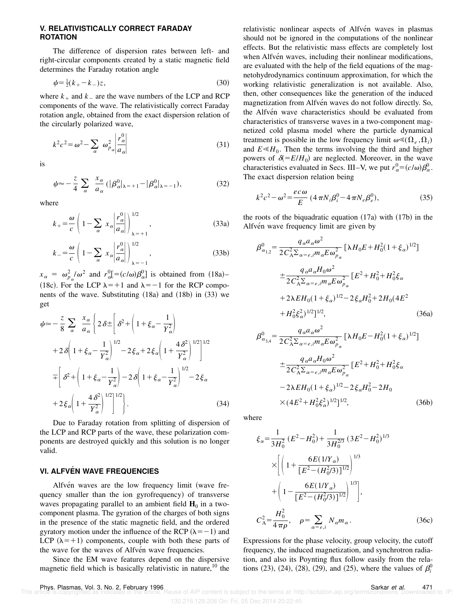#### **V. RELATIVISTICALLY CORRECT FARADAY ROTATION**

The difference of dispersion rates between left- and right-circular components created by a static magnetic field determines the Faraday rotation angle

$$
\psi = \frac{1}{2}(k_{+} - k_{-})z,\tag{30}
$$

where  $k_{+}$  and  $k_{-}$  are the wave numbers of the LCP and RCP components of the wave. The relativistically correct Faraday rotation angle, obtained from the exact dispersion relation of the circularly polarized wave,

$$
k^{2}c^{2} = \omega^{2} - \sum_{\alpha} \omega_{p_{\alpha}}^{2} \left| \frac{r_{\alpha}^{0}}{a_{\alpha}} \right|
$$
 (31)

is

$$
\psi \approx -\frac{z}{4} \sum_{\alpha} \frac{x_{\alpha}}{a_{\alpha}} (|\beta_{\alpha}^{0}|_{\lambda=\pm 1} - |\beta_{\alpha}^{0}|_{\lambda=\pm 1}), \qquad (32)
$$

where

$$
k_{+} = \frac{\omega}{c} \left( 1 - \sum_{\alpha} x_{\alpha} \left| \frac{r_{\alpha}^{0}}{a_{\alpha}} \right| \right)_{\lambda = +1}^{1/2}, \qquad (33a)
$$

$$
k_{-} = \frac{\omega}{c} \left( 1 - \sum_{\alpha} x_{\alpha} \left| \frac{r_{\alpha}^{0}}{a_{\alpha}} \right| \right)_{\lambda = -1}^{1/2}, \qquad (33b)
$$

 $x_{\alpha} = \omega_{p_{\alpha}}^2/\omega^2$  and  $r_{\alpha}^0 = (c/\omega)\beta_{\alpha}^0$  is obtained from (18a)– (18c). For the LCP  $\lambda = +1$  and  $\lambda = -1$  for the RCP components of the wave. Substituting  $(18a)$  and  $(18b)$  in  $(33)$  we get

$$
\psi \approx -\frac{z}{8} \sum_{\alpha} \frac{x_{\alpha}}{a_{\alpha}} \left\{ 2\delta \pm \left[ \delta^{2} + \left( 1 + \xi_{\alpha} - \frac{1}{Y_{\alpha}^{2}} \right) \right. \right.\left. + 2\delta \left( 1 + \xi_{\alpha} - \frac{1}{Y_{\alpha}^{2}} \right)^{1/2} - 2\xi_{\alpha} + 2\xi_{\alpha} \left( 1 + \frac{4\delta^{2}}{Y_{\alpha}^{2}} \right)^{1/2} \right\}^{1/2}\left. - \left[ \delta^{2} + \left( 1 + \xi_{\alpha} - \frac{1}{Y_{\alpha}^{2}} \right) - 2\delta \left( 1 + \xi_{\alpha} - \frac{1}{Y_{\alpha}^{2}} \right)^{1/2} - 2\xi_{\alpha} \right. \right.\left. + 2\xi_{\alpha} \left( 1 + \frac{4\delta^{2}}{Y_{\alpha}^{2}} \right)^{1/2} \right\}.
$$
\n(34)

Due to Faraday rotation from splitting of dispersion of the LCP and RCP parts of the wave, these polarization components are destroyed quickly and this solution is no longer valid.

## **VI. ALFVÉN WAVE FREQUENCIES**

Alfvén waves are the low frequency limit (wave frequency smaller than the ion gyrofrequency) of transverse waves propagating parallel to an ambient field  $\mathbf{H}_0$  in a twocomponent plasma. The gyration of the charges of both signs in the presence of the static magnetic field, and the ordered gyratory motion under the influence of the RCP  $(\lambda = -1)$  and LCP  $(\lambda=+1)$  components, couple with both these parts of the wave for the waves of Alfven wave frequencies.

Since the EM wave features depend on the dispersive magnetic field which is basically relativistic in nature,  $10$  the relativistic nonlinear aspects of Alfvén waves in plasmas should not be ignored in the computations of the nonlinear effects. But the relativistic mass effects are completely lost when Alfven waves, including their nonlinear modifications, are evaluated with the help of the field equations of the magnetohydrodynamics continuum approximation, for which the working relativistic generalization is not available. Also, then, other consequences like the generation of the induced magnetization from Alfvén waves do not follow directly. So, the Alfven wave characteristics should be evaluated from characteristics of transverse waves in a two-component magnetized cold plasma model where the particle dynamical treatment is possible in the low frequency limit  $\omega \leq (\Omega_e, \Omega_i)$ and  $E \ll H_0$ . Then the terms involving the third and higher powers of  $\delta (=E/H_0)$  are neglected. Moreover, in the wave characteristics evaluated in Secs. III–V, we put  $r_{\alpha}^{0} = (c/\omega)\beta_{\alpha}^{0}$ . The exact dispersion relation being

$$
k^2c^2 - \omega^2 = \frac{ec\,\omega}{E} \left(4\,\pi N_i \beta_i^0 - 4\,\pi N_e \beta_e^0\right),\tag{35}
$$

the roots of the biquadratic equation  $(17a)$  with  $(17b)$  in the Alfvén wave frequency limit are given by

$$
\beta_{\alpha_{1,2}}^{0} = \frac{q_{\alpha}a_{\alpha}\omega^{2}}{2C_{A}^{2}\Sigma_{\alpha=e,i}m_{\alpha}E\omega_{p_{\alpha}}^{2}} \left[\lambda H_{0}E + H_{0}^{2}(1+\xi_{\alpha})^{1/2}\right]
$$
  
\n
$$
+ \frac{q_{\alpha}a_{\alpha}H_{0}\omega^{2}}{2C_{A}^{2}\Sigma_{\alpha=e,i}m_{\alpha}E\omega_{p_{\alpha}}^{2}} \left[E^{2} + H_{0}^{2} + H_{0}^{2}\xi_{\alpha}\right]
$$
  
\n
$$
+ 2\lambda EH_{0}(1+\xi_{\alpha})^{1/2} - 2\xi_{\alpha}H_{0}^{2} + 2H_{0}(4E^{2})
$$
  
\n
$$
+ H_{0}^{2}\xi_{\alpha}^{2})^{1/2}\right]^{1/2}, \qquad (36a)
$$
  
\n
$$
\beta_{\alpha_{3,4}}^{0} = \frac{q_{\alpha}a_{\alpha}\omega^{2}}{2C_{A}^{2}\Sigma_{\alpha=e,i}m_{\alpha}E\omega_{p_{\alpha}}^{2}} \left[\lambda H_{0}E - H_{0}^{2}(1+\xi_{\alpha})^{1/2}\right]
$$

$$
\pm \frac{q_{\alpha}a_{\alpha}H_0\omega^2}{2C_A^2\Sigma_{\alpha=e,i}m_{\alpha}E\omega_{p_{\alpha}}^2} [E^2 + H_0^2 + H_0^2\xi_{\alpha}
$$
  

$$
-2\lambda EH_0(1 + \xi_{\alpha})^{1/2} - 2\xi_{\alpha}H_0^2 - 2H_0
$$
  

$$
\times (4E^2 + H_0^2\xi_{\alpha}^2)^{1/2}]^{1/2},
$$
 (36b)

where

$$
\xi_{\alpha} = \frac{1}{3H_0^2} (E^2 - H_0^2) + \frac{1}{3H_0^{2/3}} (3E^2 - H_0^2)^{1/3}
$$
  
\n
$$
\times \left[ \left( 1 + \frac{6E(1/Y_{\alpha})}{[E^2 - (H_0^2/3)]^{1/2}} \right)^{1/3} + \left( 1 - \frac{6E(1/Y_{\alpha})}{[E^2 - (H_0^2/3)]^{1/2}} \right)^{1/3} \right],
$$
  
\n
$$
C_A^2 = \frac{H_0^2}{4\pi\rho}, \quad \rho = \sum_{\alpha = e,i} N_{\alpha} m_{\alpha}.
$$
 (36c)

Expressions for the phase velocity, group velocity, the cutoff frequency, the induced magnetization, and synchrotron radiation, and also its Poynting flux follow easily from the relations (23), (24), (28), (29), and (25), where the values of  $\beta_i^0$ 

<sup>130.216.129.208</sup> On: Fri, 05 Dec 2014 20:22:45